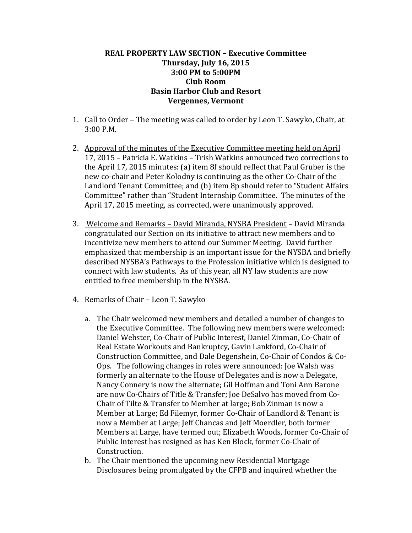## **REAL PROPERTY LAW SECTION – Executive Committee Thursday, July 16, 2015 3:00 PM to 5:00PM Club Room Basin Harbor Club and Resort Vergennes, Vermont**

- 1. Call to Order The meeting was called to order by Leon T. Sawyko, Chair, at 3:00 P.M.
- 2. Approval of the minutes of the Executive Committee meeting held on April 17, 2015 – Patricia E. Watkins – Trish Watkins announced two corrections to the April 17, 2015 minutes: (a) item 8f should reflect that Paul Gruber is the new co-chair and Peter Kolodny is continuing as the other Co-Chair of the Landlord Tenant Committee; and (b) item 8p should refer to "Student Affairs Committee" rather than "Student Internship Committee. The minutes of the April 17, 2015 meeting, as corrected, were unanimously approved.
- 3. Welcome and Remarks David Miranda, NYSBA President David Miranda congratulated our Section on its initiative to attract new members and to incentivize new members to attend our Summer Meeting. David further emphasized that membership is an important issue for the NYSBA and briefly described NYSBA's Pathways to the Profession initiative which is designed to connect with law students. As of this year, all NY law students are now entitled to free membership in the NYSBA.
- 4. Remarks of Chair Leon T. Sawyko
	- a. The Chair welcomed new members and detailed a number of changes to the Executive Committee. The following new members were welcomed: Daniel Webster, Co-Chair of Public Interest, Daniel Zinman, Co-Chair of Real Estate Workouts and Bankruptcy, Gavin Lankford, Co-Chair of Construction Committee, and Dale Degenshein, Co-Chair of Condos & Co-Ops. The following changes in roles were announced: Joe Walsh was formerly an alternate to the House of Delegates and is now a Delegate, Nancy Connery is now the alternate; Gil Hoffman and Toni Ann Barone are now Co-Chairs of Title & Transfer; Joe DeSalvo has moved from Co-Chair of Tilte & Transfer to Member at large; Bob Zinman is now a Member at Large; Ed Filemyr, former Co-Chair of Landlord & Tenant is now a Member at Large; Jeff Chancas and Jeff Moerdler, both former Members at Large, have termed out; Elizabeth Woods, former Co-Chair of Public Interest has resigned as has Ken Block, former Co-Chair of Construction.
	- b. The Chair mentioned the upcoming new Residential Mortgage Disclosures being promulgated by the CFPB and inquired whether the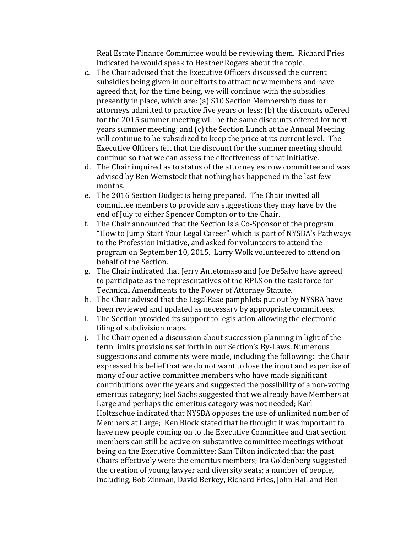Real Estate Finance Committee would be reviewing them. Richard Fries indicated he would speak to Heather Rogers about the topic.

- c. The Chair advised that the Executive Officers discussed the current subsidies being given in our efforts to attract new members and have agreed that, for the time being, we will continue with the subsidies presently in place, which are: (a) \$10 Section Membership dues for attorneys admitted to practice five years or less; (b) the discounts offered for the 2015 summer meeting will be the same discounts offered for next years summer meeting; and (c) the Section Lunch at the Annual Meeting will continue to be subsidized to keep the price at its current level. The Executive Officers felt that the discount for the summer meeting should continue so that we can assess the effectiveness of that initiative.
- d. The Chair inquired as to status of the attorney escrow committee and was advised by Ben Weinstock that nothing has happened in the last few months.
- e. The 2016 Section Budget is being prepared. The Chair invited all committee members to provide any suggestions they may have by the end of July to either Spencer Compton or to the Chair.
- f. The Chair announced that the Section is a Co-Sponsor of the program "How to Jump Start Your Legal Career" which is part of NYSBA's Pathways to the Profession initiative, and asked for volunteers to attend the program on September 10, 2015. Larry Wolk volunteered to attend on behalf of the Section.
- g. The Chair indicated that Jerry Antetomaso and Joe DeSalvo have agreed to participate as the representatives of the RPLS on the task force for Technical Amendments to the Power of Attorney Statute.
- h. The Chair advised that the LegalEase pamphlets put out by NYSBA have been reviewed and updated as necessary by appropriate committees.
- i. The Section provided its support to legislation allowing the electronic filing of subdivision maps.
- j. The Chair opened a discussion about succession planning in light of the term limits provisions set forth in our Section's By-Laws. Numerous suggestions and comments were made, including the following: the Chair expressed his belief that we do not want to lose the input and expertise of many of our active committee members who have made significant contributions over the years and suggested the possibility of a non-voting emeritus category; Joel Sachs suggested that we already have Members at Large and perhaps the emeritus category was not needed; Karl Holtzschue indicated that NYSBA opposes the use of unlimited number of Members at Large; Ken Block stated that he thought it was important to have new people coming on to the Executive Committee and that section members can still be active on substantive committee meetings without being on the Executive Committee; Sam Tilton indicated that the past Chairs effectively were the emeritus members; Ira Goldenberg suggested the creation of young lawyer and diversity seats; a number of people, including, Bob Zinman, David Berkey, Richard Fries, John Hall and Ben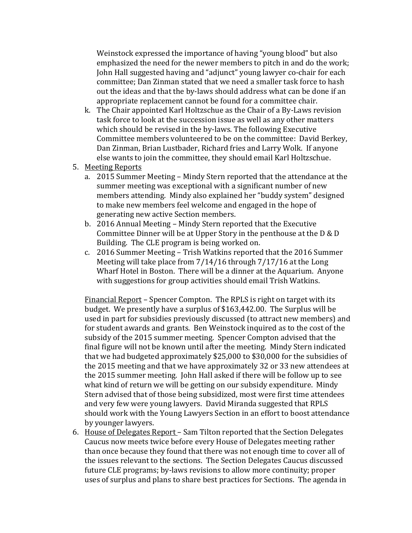Weinstock expressed the importance of having "young blood" but also emphasized the need for the newer members to pitch in and do the work; John Hall suggested having and "adjunct" young lawyer co-chair for each committee; Dan Zinman stated that we need a smaller task force to hash out the ideas and that the by-laws should address what can be done if an appropriate replacement cannot be found for a committee chair.

- k. The Chair appointed Karl Holtzschue as the Chair of a By-Laws revision task force to look at the succession issue as well as any other matters which should be revised in the by-laws. The following Executive Committee members volunteered to be on the committee: David Berkey, Dan Zinman, Brian Lustbader, Richard fries and Larry Wolk. If anyone else wants to join the committee, they should email Karl Holtzschue.
- 5. Meeting Reports
	- a. 2015 Summer Meeting Mindy Stern reported that the attendance at the summer meeting was exceptional with a significant number of new members attending. Mindy also explained her "buddy system" designed to make new members feel welcome and engaged in the hope of generating new active Section members.
	- b. 2016 Annual Meeting Mindy Stern reported that the Executive Committee Dinner will be at Upper Story in the penthouse at the D & D Building. The CLE program is being worked on.
	- c. 2016 Summer Meeting Trish Watkins reported that the 2016 Summer Meeting will take place from 7/14/16 through 7/17/16 at the Long Wharf Hotel in Boston. There will be a dinner at the Aquarium. Anyone with suggestions for group activities should email Trish Watkins.

Financial Report – Spencer Compton. The RPLS is right on target with its budget. We presently have a surplus of \$163,442.00. The Surplus will be used in part for subsidies previously discussed (to attract new members) and for student awards and grants. Ben Weinstock inquired as to the cost of the subsidy of the 2015 summer meeting. Spencer Compton advised that the final figure will not be known until after the meeting. Mindy Stern indicated that we had budgeted approximately \$25,000 to \$30,000 for the subsidies of the 2015 meeting and that we have approximately 32 or 33 new attendees at the 2015 summer meeting. John Hall asked if there will be follow up to see what kind of return we will be getting on our subsidy expenditure. Mindy Stern advised that of those being subsidized, most were first time attendees and very few were young lawyers. David Miranda suggested that RPLS should work with the Young Lawyers Section in an effort to boost attendance by younger lawyers.

6. House of Delegates Report – Sam Tilton reported that the Section Delegates Caucus now meets twice before every House of Delegates meeting rather than once because they found that there was not enough time to cover all of the issues relevant to the sections. The Section Delegates Caucus discussed future CLE programs; by-laws revisions to allow more continuity; proper uses of surplus and plans to share best practices for Sections. The agenda in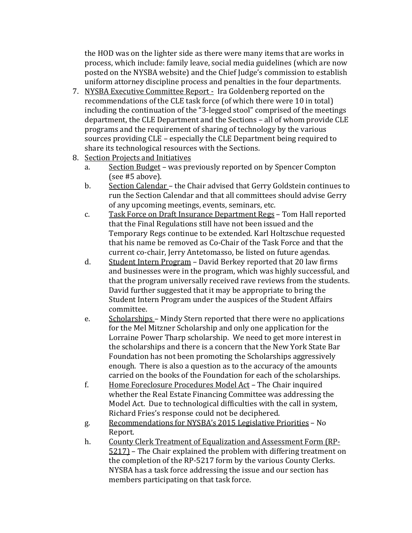the HOD was on the lighter side as there were many items that are works in process, which include: family leave, social media guidelines (which are now posted on the NYSBA website) and the Chief Judge's commission to establish uniform attorney discipline process and penalties in the four departments.

- 7. NYSBA Executive Committee Report Ira Goldenberg reported on the recommendations of the CLE task force (of which there were 10 in total) including the continuation of the "3-legged stool" comprised of the meetings department, the CLE Department and the Sections – all of whom provide CLE programs and the requirement of sharing of technology by the various sources providing CLE – especially the CLE Department being required to share its technological resources with the Sections.
- 8. Section Projects and Initiatives<br>a. Section Budget was pre
	- Section Budget was previously reported on by Spencer Compton (see #5 above).
	- b. Section Calendar the Chair advised that Gerry Goldstein continues to run the Section Calendar and that all committees should advise Gerry of any upcoming meetings, events, seminars, etc.
	- c. Task Force on Draft Insurance Department Regs Tom Hall reported that the Final Regulations still have not been issued and the Temporary Regs continue to be extended. Karl Holtzschue requested that his name be removed as Co-Chair of the Task Force and that the current co-chair, Jerry Antetomasso, be listed on future agendas.
	- d. Student Intern Program David Berkey reported that 20 law firms and businesses were in the program, which was highly successful, and that the program universally received rave reviews from the students. David further suggested that it may be appropriate to bring the Student Intern Program under the auspices of the Student Affairs committee.
	- e. Scholarships Mindy Stern reported that there were no applications for the Mel Mitzner Scholarship and only one application for the Lorraine Power Tharp scholarship. We need to get more interest in the scholarships and there is a concern that the New York State Bar Foundation has not been promoting the Scholarships aggressively enough. There is also a question as to the accuracy of the amounts carried on the books of the Foundation for each of the scholarships.
	- f. Home Foreclosure Procedures Model Act The Chair inquired whether the Real Estate Financing Committee was addressing the Model Act. Due to technological difficulties with the call in system, Richard Fries's response could not be deciphered.
	- g. Recommendations for NYSBA's 2015 Legislative Priorities No Report.
	- h. County Clerk Treatment of Equalization and Assessment Form (RP-5217) – The Chair explained the problem with differing treatment on the completion of the RP-5217 form by the various County Clerks. NYSBA has a task force addressing the issue and our section has members participating on that task force.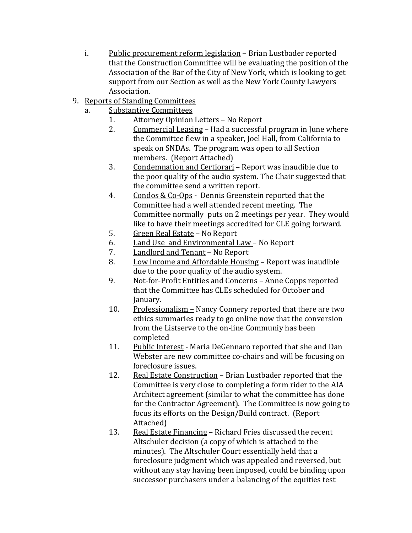- i. Public procurement reform legislation Brian Lustbader reported that the Construction Committee will be evaluating the position of the Association of the Bar of the City of New York, which is looking to get support from our Section as well as the New York County Lawyers Association.
- 9. Reports of Standing Committees<br>a. Substantive Committees
	- Substantive Committees<br>1. Attorney Opinion
		- 1. Attorney Opinion Letters No Report<br>2. Commercial Leasing Had a successfu
		- Commercial Leasing Had a successful program in June where the Committee flew in a speaker, Joel Hall, from California to speak on SNDAs. The program was open to all Section members. (Report Attached)
		- 3. Condemnation and Certiorari Report was inaudible due to the poor quality of the audio system. The Chair suggested that the committee send a written report.
		- 4. Condos & Co-Ops Dennis Greenstein reported that the Committee had a well attended recent meeting. The Committee normally puts on 2 meetings per year. They would like to have their meetings accredited for CLE going forward.
		- 5. Green Real Estate No Report<br>6. Land Use and Environmental I
		- 6. Land Use and Environmental Law No Report<br>7. Landlord and Tenant No Report
		- 7. **Landlord and Tenant** No Report<br>8. Low Income and Affordable Housi
		- Low Income and Affordable Housing Report was inaudible due to the poor quality of the audio system.
		- 9. Not-for-Profit Entities and Concerns Anne Copps reported that the Committee has CLEs scheduled for October and January.
		- 10. Professionalism Nancy Connery reported that there are two ethics summaries ready to go online now that the conversion from the Listserve to the on-line Communiy has been completed
		- 11. Public Interest Maria DeGennaro reported that she and Dan Webster are new committee co-chairs and will be focusing on foreclosure issues.
		- 12. Real Estate Construction Brian Lustbader reported that the Committee is very close to completing a form rider to the AIA Architect agreement (similar to what the committee has done for the Contractor Agreement). The Committee is now going to focus its efforts on the Design/Build contract. (Report Attached)
		- 13. Real Estate Financing Richard Fries discussed the recent Altschuler decision (a copy of which is attached to the minutes). The Altschuler Court essentially held that a foreclosure judgment which was appealed and reversed, but without any stay having been imposed, could be binding upon successor purchasers under a balancing of the equities test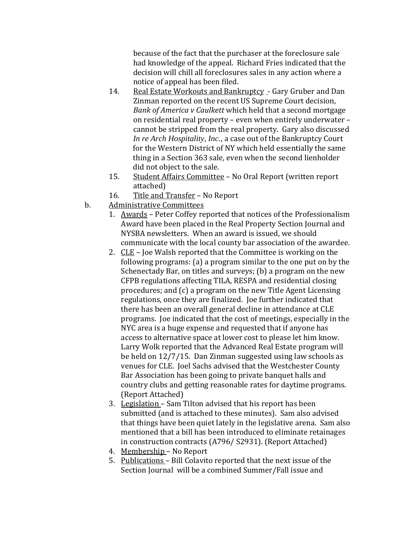because of the fact that the purchaser at the foreclosure sale had knowledge of the appeal. Richard Fries indicated that the decision will chill all foreclosures sales in any action where a notice of appeal has been filed.

- 14. Real Estate Workouts and Bankruptcy Gary Gruber and Dan Zinman reported on the recent US Supreme Court decision, *Bank of America v Caulkett* which held that a second mortgage on residential real property – even when entirely underwater – cannot be stripped from the real property. Gary also discussed *In re Arch Hospitality, Inc.,* a case out of the Bankruptcy Court for the Western District of NY which held essentially the same thing in a Section 363 sale, even when the second lienholder did not object to the sale.
- 15. Student Affairs Committee No Oral Report (written report attached)
- 16. Title and Transfer No Report
- b. Administrative Committees
	- 1. Awards Peter Coffey reported that notices of the Professionalism Award have been placed in the Real Property Section Journal and NYSBA newsletters. When an award is issued, we should communicate with the local county bar association of the awardee.
	- 2. CLE Joe Walsh reported that the Committee is working on the following programs: (a) a program similar to the one put on by the Schenectady Bar, on titles and surveys; (b) a program on the new CFPB regulations affecting TILA, RESPA and residential closing procedures; and (c) a program on the new Title Agent Licensing regulations, once they are finalized. Joe further indicated that there has been an overall general decline in attendance at CLE programs. Joe indicated that the cost of meetings, especially in the NYC area is a huge expense and requested that if anyone has access to alternative space at lower cost to please let him know. Larry Wolk reported that the Advanced Real Estate program will be held on 12/7/15. Dan Zinman suggested using law schools as venues for CLE. Joel Sachs advised that the Westchester County Bar Association has been going to private banquet halls and country clubs and getting reasonable rates for daytime programs. (Report Attached)
	- 3. Legislation Sam Tilton advised that his report has been submitted (and is attached to these minutes). Sam also advised that things have been quiet lately in the legislative arena. Sam also mentioned that a bill has been introduced to eliminate retainages in construction contracts (A796/ S2931). (Report Attached)
	- 4. Membership No Report
	- 5. Publications Bill Colavito reported that the next issue of the Section Journal will be a combined Summer/Fall issue and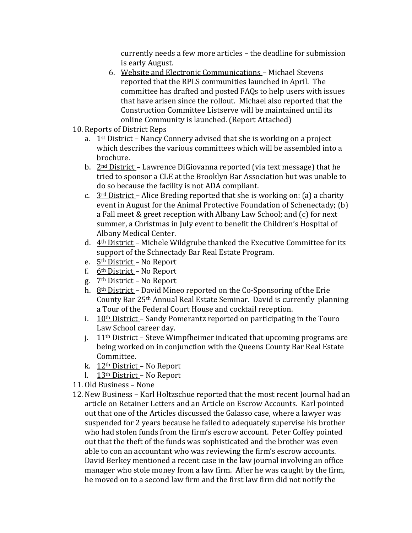currently needs a few more articles – the deadline for submission is early August.

- 6. Website and Electronic Communications Michael Stevens reported that the RPLS communities launched in April. The committee has drafted and posted FAQs to help users with issues that have arisen since the rollout. Michael also reported that the Construction Committee Listserve will be maintained until its online Community is launched. (Report Attached)
- 10. Reports of District Reps
	- a. 1st District Nancy Connery advised that she is working on a project which describes the various committees which will be assembled into a brochure.
	- b. 2nd District Lawrence DiGiovanna reported (via text message) that he tried to sponsor a CLE at the Brooklyn Bar Association but was unable to do so because the facility is not ADA compliant.
	- c.  $3<sup>rd</sup> District Alice Breding reported that she is working on: (a) a charity$ event in August for the Animal Protective Foundation of Schenectady; (b) a Fall meet & greet reception with Albany Law School; and (c) for next summer, a Christmas in July event to benefit the Children's Hospital of Albany Medical Center.
	- d. 4th District Michele Wildgrube thanked the Executive Committee for its support of the Schnectady Bar Real Estate Program.
	- e. 5th District No Report
	- f. 6th District No Report
	- g. 7th District No Report
	- h. 8th District David Mineo reported on the Co-Sponsoring of the Erie County Bar 25th Annual Real Estate Seminar. David is currently planning a Tour of the Federal Court House and cocktail reception.
	- i.  $10<sup>th</sup> District Sandy Pomerantz reported on participating in the Touro$ Law School career day.
	- j.  $11<sup>th</sup>$  District Steve Wimpfheimer indicated that upcoming programs are being worked on in conjunction with the Queens County Bar Real Estate Committee.
	- k. 12th District No Report
	- l. 13th District No Report
- 11. Old Business None
- 12. New Business Karl Holtzschue reported that the most recent Journal had an article on Retainer Letters and an Article on Escrow Accounts. Karl pointed out that one of the Articles discussed the Galasso case, where a lawyer was suspended for 2 years because he failed to adequately supervise his brother who had stolen funds from the firm's escrow account. Peter Coffey pointed out that the theft of the funds was sophisticated and the brother was even able to con an accountant who was reviewing the firm's escrow accounts. David Berkey mentioned a recent case in the law journal involving an office manager who stole money from a law firm. After he was caught by the firm, he moved on to a second law firm and the first law firm did not notify the